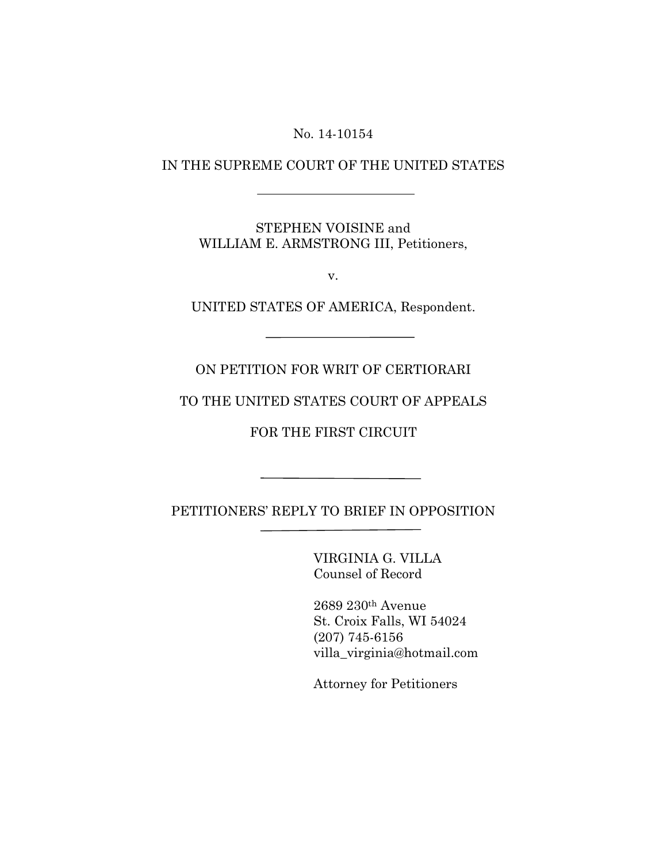No. 14-10154

## IN THE SUPREME COURT OF THE UNITED STATES

STEPHEN VOISINE and WILLIAM E. ARMSTRONG III, Petitioners,

v.

UNITED STATES OF AMERICA, Respondent.

ON PETITION FOR WRIT OF CERTIORARI

TO THE UNITED STATES COURT OF APPEALS

FOR THE FIRST CIRCUIT

PETITIONERS' REPLY TO BRIEF IN OPPOSITION L

Ī

VIRGINIA G. VILLA Counsel of Record

2689 230th Avenue St. Croix Falls, WI 54024 (207) 745-6156 villa\_virginia@hotmail.com

Attorney for Petitioners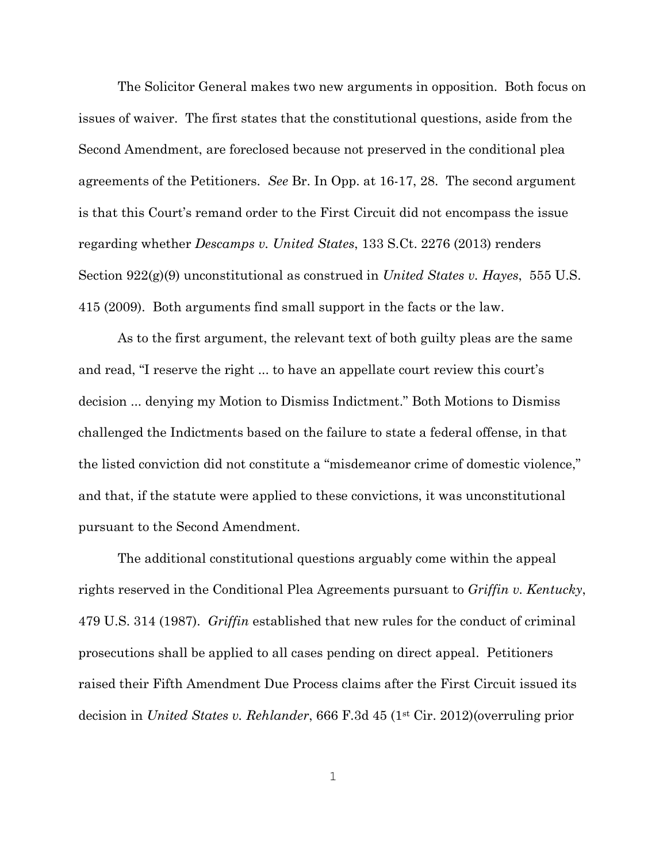The Solicitor General makes two new arguments in opposition. Both focus on issues of waiver. The first states that the constitutional questions, aside from the Second Amendment, are foreclosed because not preserved in the conditional plea agreements of the Petitioners. *See* Br. In Opp. at 16-17, 28. The second argument is that this Court's remand order to the First Circuit did not encompass the issue regarding whether *Descamps v. United States*, 133 S.Ct. 2276 (2013) renders Section 922(g)(9) unconstitutional as construed in *United States v. Hayes*, 555 U.S. 415 (2009). Both arguments find small support in the facts or the law.

As to the first argument, the relevant text of both guilty pleas are the same and read, "I reserve the right ... to have an appellate court review this court's decision ... denying my Motion to Dismiss Indictment." Both Motions to Dismiss challenged the Indictments based on the failure to state a federal offense, in that the listed conviction did not constitute a "misdemeanor crime of domestic violence," and that, if the statute were applied to these convictions, it was unconstitutional pursuant to the Second Amendment.

The additional constitutional questions arguably come within the appeal rights reserved in the Conditional Plea Agreements pursuant to *Griffin v. Kentucky*, 479 U.S. 314 (1987). *Griffin* established that new rules for the conduct of criminal prosecutions shall be applied to all cases pending on direct appeal. Petitioners raised their Fifth Amendment Due Process claims after the First Circuit issued its decision in *United States v. Rehlander*, 666 F.3d 45 (1st Cir. 2012)(overruling prior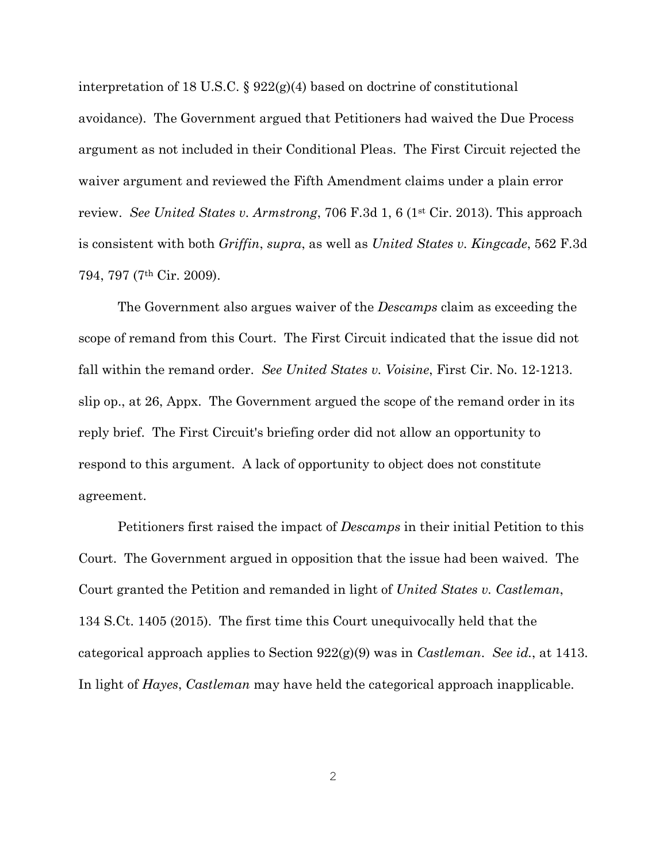interpretation of 18 U.S.C. § 922(g)(4) based on doctrine of constitutional avoidance). The Government argued that Petitioners had waived the Due Process argument as not included in their Conditional Pleas. The First Circuit rejected the waiver argument and reviewed the Fifth Amendment claims under a plain error review. *See United States v. Armstrong*, 706 F.3d 1, 6 (1st Cir. 2013). This approach is consistent with both *Griffin*, *supra*, as well as *United States v. Kingcade*, 562 F.3d 794, 797 (7th Cir. 2009).

The Government also argues waiver of the *Descamps* claim as exceeding the scope of remand from this Court. The First Circuit indicated that the issue did not fall within the remand order. *See United States v. Voisine*, First Cir. No. 12-1213. slip op., at 26, Appx. The Government argued the scope of the remand order in its reply brief. The First Circuit's briefing order did not allow an opportunity to respond to this argument. A lack of opportunity to object does not constitute agreement.

Petitioners first raised the impact of *Descamps* in their initial Petition to this Court. The Government argued in opposition that the issue had been waived. The Court granted the Petition and remanded in light of *United States v. Castleman*, 134 S.Ct. 1405 (2015). The first time this Court unequivocally held that the categorical approach applies to Section 922(g)(9) was in *Castleman*. *See id.*, at 1413. In light of *Hayes*, *Castleman* may have held the categorical approach inapplicable.

2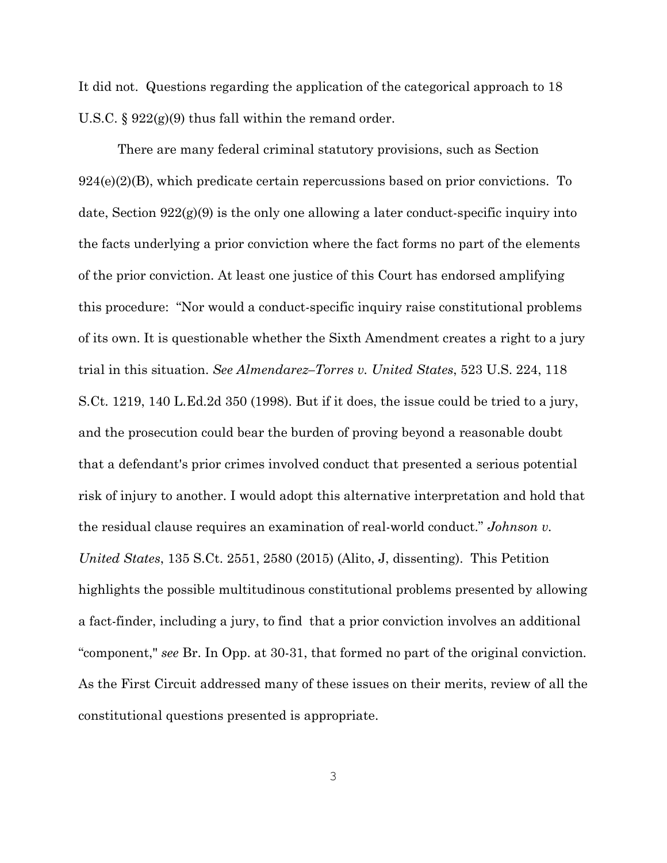It did not. Questions regarding the application of the categorical approach to 18 U.S.C. § 922(g)(9) thus fall within the remand order.

There are many federal criminal statutory provisions, such as Section  $924(e)(2)(B)$ , which predicate certain repercussions based on prior convictions. To date, Section 922(g)(9) is the only one allowing a later conduct-specific inquiry into the facts underlying a prior conviction where the fact forms no part of the elements of the prior conviction. At least one justice of this Court has endorsed amplifying this procedure: "Nor would a conduct-specific inquiry raise constitutional problems of its own. It is questionable whether the Sixth Amendment creates a right to a jury trial in this situation. *See Almendarez–Torres v. United States*, 523 U.S. 224, 118 S.Ct. 1219, 140 L.Ed.2d 350 (1998). But if it does, the issue could be tried to a jury, and the prosecution could bear the burden of proving beyond a reasonable doubt that a defendant's prior crimes involved conduct that presented a serious potential risk of injury to another. I would adopt this alternative interpretation and hold that the residual clause requires an examination of real-world conduct." *Johnson v. United States*, 135 S.Ct. 2551, 2580 (2015) (Alito, J, dissenting). This Petition highlights the possible multitudinous constitutional problems presented by allowing a fact-finder, including a jury, to find that a prior conviction involves an additional "component," *see* Br. In Opp. at 30-31, that formed no part of the original conviction. As the First Circuit addressed many of these issues on their merits, review of all the constitutional questions presented is appropriate.

3